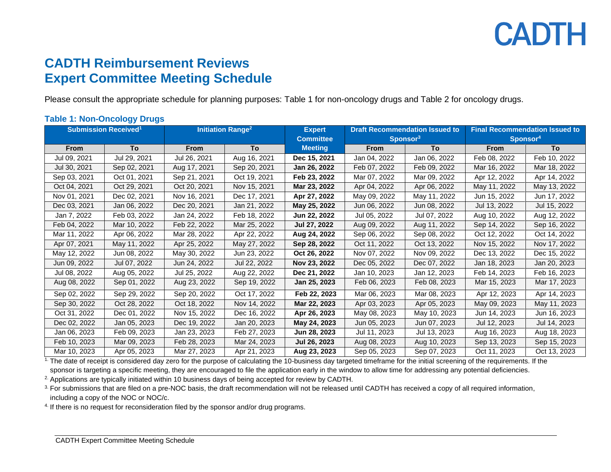# **CADTH**

### **CADTH Reimbursement Reviews Expert Committee Meeting Schedule**

Please consult the appropriate schedule for planning purposes: Table 1 for non-oncology drugs and Table 2 for oncology drugs.

### **Table 1: Non-Oncology Drugs**

| <b>Submission Received<sup>1</sup></b> |              | <b>Initiation Range<sup>2</sup></b> |              | <b>Expert</b>    | <b>Draft Recommendation Issued to</b> |              | <b>Final Recommendation Issued to</b> |              |
|----------------------------------------|--------------|-------------------------------------|--------------|------------------|---------------------------------------|--------------|---------------------------------------|--------------|
|                                        |              |                                     |              | <b>Committee</b> | Sponsor <sup>3</sup>                  |              | Sponsor <sup>4</sup>                  |              |
| <b>From</b>                            | To           | <b>From</b>                         | To           | <b>Meeting</b>   | From                                  | To           | From                                  | <b>To</b>    |
| Jul 09, 2021                           | Jul 29, 2021 | Jul 26, 2021                        | Aug 16, 2021 | Dec 15, 2021     | Jan 04, 2022                          | Jan 06, 2022 | Feb 08, 2022                          | Feb 10, 2022 |
| Jul 30, 2021                           | Sep 02, 2021 | Aug 17, 2021                        | Sep 20, 2021 | Jan 26, 2022     | Feb 07, 2022                          | Feb 09, 2022 | Mar 16, 2022                          | Mar 18, 2022 |
| Sep 03, 2021                           | Oct 01, 2021 | Sep 21, 2021                        | Oct 19, 2021 | Feb 23, 2022     | Mar 07, 2022                          | Mar 09, 2022 | Apr 12, 2022                          | Apr 14, 2022 |
| Oct 04, 2021                           | Oct 29, 2021 | Oct 20, 2021                        | Nov 15, 2021 | Mar 23, 2022     | Apr 04, 2022                          | Apr 06, 2022 | May 11, 2022                          | May 13, 2022 |
| Nov 01, 2021                           | Dec 02, 2021 | Nov 16, 2021                        | Dec 17, 2021 | Apr 27, 2022     | May 09, 2022                          | May 11, 2022 | Jun 15, 2022                          | Jun 17, 2022 |
| Dec 03, 2021                           | Jan 06, 2022 | Dec 20, 2021                        | Jan 21, 2022 | May 25, 2022     | Jun 06, 2022                          | Jun 08, 2022 | Jul 13, 2022                          | Jul 15, 2022 |
| Jan 7, 2022                            | Feb 03, 2022 | Jan 24, 2022                        | Feb 18, 2022 | Jun 22, 2022     | Jul 05, 2022                          | Jul 07, 2022 | Aug 10, 2022                          | Aug 12, 2022 |
| Feb 04, 2022                           | Mar 10, 2022 | Feb 22, 2022                        | Mar 25, 2022 | Jul 27, 2022     | Aug 09, 2022                          | Aug 11, 2022 | Sep 14, 2022                          | Sep 16, 2022 |
| Mar 11, 2022                           | Apr 06, 2022 | Mar 28, 2022                        | Apr 22, 2022 | Aug 24, 2022     | Sep 06, 2022                          | Sep 08, 2022 | Oct 12, 2022                          | Oct 14, 2022 |
| Apr 07, 2021                           | May 11, 2022 | Apr 25, 2022                        | May 27, 2022 | Sep 28, 2022     | Oct 11, 2022                          | Oct 13, 2022 | Nov 15, 2022                          | Nov 17, 2022 |
| May 12, 2022                           | Jun 08, 2022 | May 30, 2022                        | Jun 23, 2022 | Oct 26, 2022     | Nov 07, 2022                          | Nov 09, 2022 | Dec 13, 2022                          | Dec 15, 2022 |
| Jun 09, 2022                           | Jul 07, 2022 | Jun 24, 2022                        | Jul 22, 2022 | Nov 23, 2022     | Dec 05, 2022                          | Dec 07, 2022 | Jan 18, 2023                          | Jan 20, 2023 |
| Jul 08, 2022                           | Aug 05, 2022 | Jul 25, 2022                        | Aug 22, 2022 | Dec 21, 2022     | Jan 10, 2023                          | Jan 12, 2023 | Feb 14, 2023                          | Feb 16, 2023 |
| Aug 08, 2022                           | Sep 01, 2022 | Aug 23, 2022                        | Sep 19, 2022 | Jan 25, 2023     | Feb 06, 2023                          | Feb 08, 2023 | Mar 15, 2023                          | Mar 17, 2023 |
| Sep 02, 2022                           | Sep 29, 2022 | Sep 20, 2022                        | Oct 17, 2022 | Feb 22, 2023     | Mar 06, 2023                          | Mar 08, 2023 | Apr 12, 2023                          | Apr 14, 2023 |
| Sep 30, 2022                           | Oct 28, 2022 | Oct 18, 2022                        | Nov 14, 2022 | Mar 22, 2023     | Apr 03, 2023                          | Apr 05, 2023 | May 09, 2023                          | May 11, 2023 |
| Oct 31, 2022                           | Dec 01, 2022 | Nov 15, 2022                        | Dec 16, 2022 | Apr 26, 2023     | May 08, 2023                          | May 10, 2023 | Jun 14, 2023                          | Jun 16, 2023 |
| Dec 02, 2022                           | Jan 05, 2023 | Dec 19, 2022                        | Jan 20, 2023 | May 24, 2023     | Jun 05, 2023                          | Jun 07, 2023 | Jul 12, 2023                          | Jul 14, 2023 |
| Jan 06, 2023                           | Feb 09, 2023 | Jan 23, 2023                        | Feb 27, 2023 | Jun 28, 2023     | Jul 11, 2023                          | Jul 13, 2023 | Aug 16, 2023                          | Aug 18, 2023 |
| Feb 10, 2023                           | Mar 09, 2023 | Feb 28, 2023                        | Mar 24, 2023 | Jul 26, 2023     | Aug 08, 2023                          | Aug 10, 2023 | Sep 13, 2023                          | Sep 15, 2023 |
| Mar 10, 2023                           | Apr 05, 2023 | Mar 27, 2023                        | Apr 21, 2023 | Aug 23, 2023     | Sep 05, 2023                          | Sep 07, 2023 | Oct 11, 2023                          | Oct 13, 2023 |

<sup>1</sup>. The date of receipt is considered day zero for the purpose of calculating the 10-business day targeted timeframe for the initial screening of the requirements. If the sponsor is targeting a specific meeting, they are encouraged to file the application early in the window to allow time for addressing any potential deficiencies.

<sup>2.</sup> Applications are typically initiated within 10 business days of being accepted for review by CADTH.

<sup>3.</sup> For submissions that are filed on a pre-NOC basis, the draft recommendation will not be released until CADTH has received a copy of all required information, including a copy of the NOC or NOC/c.

<sup>4.</sup> If there is no request for reconsideration filed by the sponsor and/or drug programs.